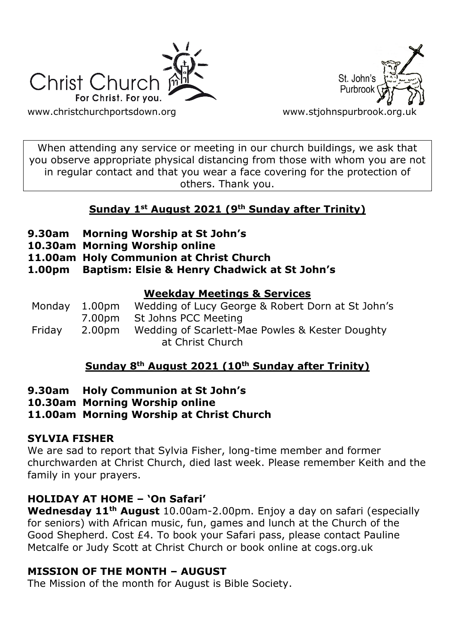



[www.christchurchportsdown.org](http://www.christchurchportsdown.org/) www.stjohnspurbrook.org

When attending any service or meeting in our church buildings, we ask that you observe appropriate physical distancing from those with whom you are not in regular contact and that you wear a face covering for the protection of others. Thank you.

# **Sunday 1st August 2021 (9th Sunday after Trinity)**

- **9.30am Morning Worship at St John's**
- **10.30am Morning Worship online**
- **11.00am Holy Communion at Christ Church**
- **1.00pm Baptism: Elsie & Henry Chadwick at St John's**

# **Weekday Meetings & Services**

Monday 1.00pm Wedding of Lucy George & Robert Dorn at St John's 7.00pm St Johns PCC Meeting Friday 2.00pm Wedding of Scarlett-Mae Powles & Kester Doughty at Christ Church

# **Sunday 8th August 2021 (10th Sunday after Trinity)**

- **9.30am Holy Communion at St John's**
- **10.30am Morning Worship online**

# **11.00am Morning Worship at Christ Church**

# **SYLVIA FISHER**

We are sad to report that Sylvia Fisher, long-time member and former churchwarden at Christ Church, died last week. Please remember Keith and the family in your prayers.

# **HOLIDAY AT HOME – 'On Safari'**

**Wednesday 11th August** 10.00am-2.00pm. Enjoy a day on safari (especially for seniors) with African music, fun, games and lunch at the Church of the Good Shepherd. Cost £4. To book your Safari pass, please contact Pauline Metcalfe or Judy Scott at Christ Church or book online at cogs.org.uk

# **MISSION OF THE MONTH – AUGUST**

The Mission of the month for August is Bible Society.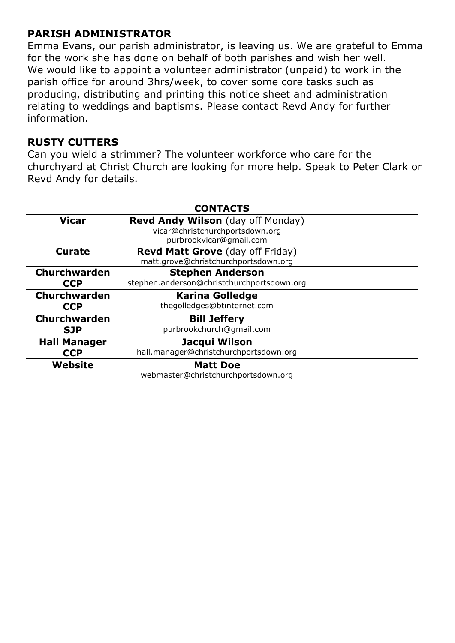# **PARISH ADMINISTRATOR**

Emma Evans, our parish administrator, is leaving us. We are grateful to Emma for the work she has done on behalf of both parishes and wish her well. We would like to appoint a volunteer administrator (unpaid) to work in the parish office for around 3hrs/week, to cover some core tasks such as producing, distributing and printing this notice sheet and administration relating to weddings and baptisms. Please contact Revd Andy for further information.

# **RUSTY CUTTERS**

Can you wield a strimmer? The volunteer workforce who care for the churchyard at Christ Church are looking for more help. Speak to Peter Clark or Revd Andy for details.

| <b>CONTACTS</b>     |                                            |
|---------------------|--------------------------------------------|
| <b>Vicar</b>        | <b>Revd Andy Wilson</b> (day off Monday)   |
|                     | vicar@christchurchportsdown.org            |
|                     | purbrookvicar@gmail.com                    |
| <b>Curate</b>       | Revd Matt Grove (day off Friday)           |
|                     | matt.grove@christchurchportsdown.org       |
| Churchwarden        | <b>Stephen Anderson</b>                    |
| <b>CCP</b>          | stephen.anderson@christchurchportsdown.org |
| <b>Churchwarden</b> | <b>Karina Golledge</b>                     |
| <b>CCP</b>          | thegolledges@btinternet.com                |
| <b>Churchwarden</b> | <b>Bill Jeffery</b>                        |
| <b>SJP</b>          | purbrookchurch@gmail.com                   |
| <b>Hall Manager</b> | Jacqui Wilson                              |
| <b>CCP</b>          | hall.manager@christchurchportsdown.org     |
| Website             | <b>Matt Doe</b>                            |
|                     | webmaster@christchurchportsdown.org        |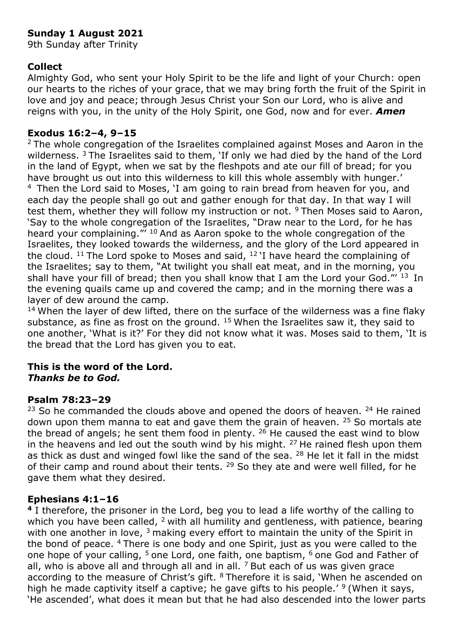# **Sunday 1 August 2021**

9th Sunday after Trinity

### **Collect**

Almighty God, who sent your Holy Spirit to be the life and light of your Church: open our hearts to the riches of your grace, that we may bring forth the fruit of the Spirit in love and joy and peace; through Jesus Christ your Son our Lord, who is alive and reigns with you, in the unity of the Holy Spirit, one God, now and for ever. *Amen*

### **Exodus 16:2–4, 9–15**

<sup>2</sup> The whole congregation of the Israelites complained against Moses and Aaron in the wilderness.<sup>3</sup> The Israelites said to them, 'If only we had died by the hand of the Lord in the land of Egypt, when we sat by the fleshpots and ate our fill of bread; for you have brought us out into this wilderness to kill this whole assembly with hunger.' <sup>4</sup> Then the Lord said to Moses, 'I am going to rain bread from heaven for you, and each day the people shall go out and gather enough for that day. In that way I will test them, whether they will follow my instruction or not.  $9$  Then Moses said to Aaron, 'Say to the whole congregation of the Israelites, "Draw near to the Lord, for he has heard your complaining." <sup>10</sup> And as Aaron spoke to the whole congregation of the Israelites, they looked towards the wilderness, and the glory of the Lord appeared in the cloud. <sup>11</sup> The Lord spoke to Moses and said,  $12$  I have heard the complaining of the Israelites; say to them, "At twilight you shall eat meat, and in the morning, you shall have your fill of bread; then you shall know that I am the Lord your God." $13$  In the evening quails came up and covered the camp; and in the morning there was a layer of dew around the camp.

 $14$  When the layer of dew lifted, there on the surface of the wilderness was a fine flaky substance, as fine as frost on the ground.  $15$  When the Israelites saw it, they said to one another, 'What is it?' For they did not know what it was. Moses said to them, 'It is the bread that the Lord has given you to eat.

#### **This is the word of the Lord.** *Thanks be to God.*

#### **Psalm 78:23–29**

 $23$  So he commanded the clouds above and opened the doors of heaven.  $24$  He rained down upon them manna to eat and gave them the grain of heaven.  $25$  So mortals ate the bread of angels; he sent them food in plenty.  $26$  He caused the east wind to blow in the heavens and led out the south wind by his might.  $27$  He rained flesh upon them as thick as dust and winged fowl like the sand of the sea.  $28$  He let it fall in the midst of their camp and round about their tents. <sup>29</sup> So they ate and were well filled, for he gave them what they desired.

### **Ephesians 4:1–16**

**<sup>4</sup>** I therefore, the prisoner in the Lord, beg you to lead a life worthy of the calling to which you have been called,  $2$  with all humility and gentleness, with patience, bearing with one another in love,  $3$  making every effort to maintain the unity of the Spirit in the bond of peace. <sup>4</sup>There is one body and one Spirit, just as you were called to the one hope of your calling,  $5$  one Lord, one faith, one baptism,  $6$  one God and Father of all, who is above all and through all and in all.  $^7$  But each of us was given grace according to the measure of Christ's gift. <sup>8</sup>Therefore it is said, 'When he ascended on high he made captivity itself a captive; he gave gifts to his people.<sup> $\prime$  9</sup> (When it says, 'He ascended', what does it mean but that he had also descended into the lower parts